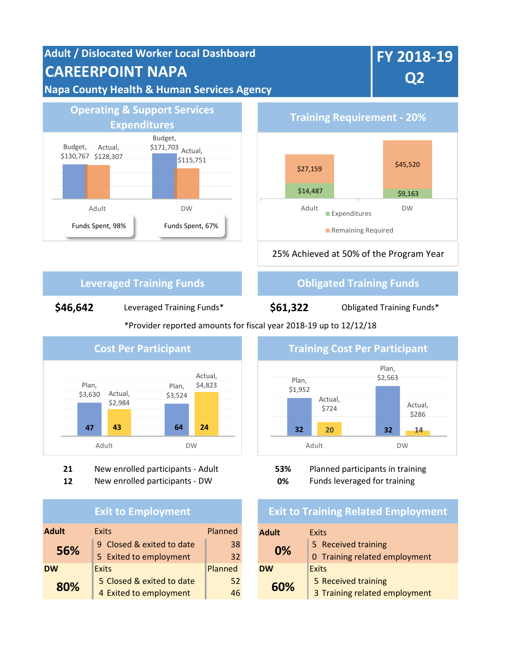



**Expenditures Training Requirement - 20%** 25% Achieved at 50% of the Program Year  $$14,487$   $$9,163$ \$27,159 \$45,520 Adult DW Expenditures Remaining Required

# **Leveraged Training Funds Constructed Training Funds**

**\$46,642** Leveraged Training Funds\*

**\$61,322**

Obligated Training Funds\*

\*Provider reported amounts for fiscal year 2018-19 up to 12/12/18



**21** New enrolled participants - Adult **53%** Planned participants in training

**12** New enrolled participants - DW **0%** Funds leveraged for training

## **Exit to Employment**

| <b>Adult</b> | <b>Exits</b>              | Planned | <b>Adult</b> | <b>Exits</b>         |
|--------------|---------------------------|---------|--------------|----------------------|
| 56%          | 9 Closed & exited to date | 38      | 0%           | 5 Received training  |
|              | 5 Exited to employment    | 32      |              | 0 Training related e |
| <b>DW</b>    | <b>Exits</b>              | Planned | <b>DW</b>    | Exits                |
| 80%          | 5 Closed & exited to date | 52      | 60%          | 5 Received training  |
|              | 4 Exited to employment    | 46      |              | 3 Training related e |



# **Exit to Training Related Employment**

| Planned |  | <b>Adult</b> | <b>Exits</b>                  |
|---------|--|--------------|-------------------------------|
| 38      |  |              | 5 Received training           |
| 32      |  |              | 0 Training related employment |
| Planned |  | <b>DW</b>    | Exits                         |
| 52      |  |              | 5 Received training           |
| 46      |  |              | 3 Training related employment |
|         |  |              | 0%<br>60%                     |

**FY 2018-19 Q2**